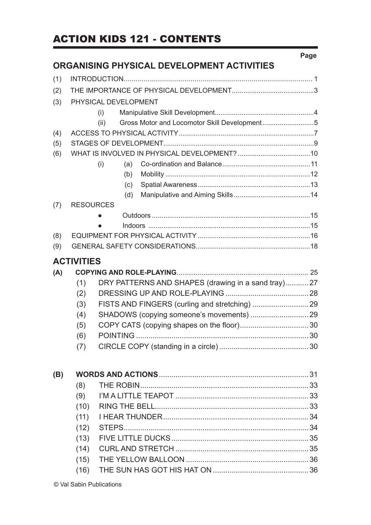### ACTION KIDS 121 - CONTENTS

|     |                   | ORGANISING PHYSICAL DEVELOPMENT ACTIVITIES           | Page |
|-----|-------------------|------------------------------------------------------|------|
| (1) |                   |                                                      |      |
| (2) |                   |                                                      |      |
| (3) |                   | PHYSICAL DEVELOPMENT                                 |      |
|     |                   | (i)                                                  |      |
|     |                   | Gross Motor and Locomotor Skill Development5<br>(ii) |      |
| (4) |                   |                                                      |      |
| (5) |                   |                                                      |      |
| (6) |                   |                                                      |      |
|     |                   | (i)<br>(a)                                           |      |
|     |                   | (b)                                                  |      |
|     |                   | (c)                                                  |      |
|     |                   | (d)                                                  |      |
| (7) | <b>RESOURCES</b>  |                                                      |      |
|     |                   |                                                      |      |
|     |                   |                                                      |      |
| (8) |                   |                                                      |      |
| (9) |                   |                                                      |      |
|     | <b>ACTIVITIES</b> |                                                      |      |
| (A) |                   |                                                      |      |
|     | (1)               | DRY PATTERNS AND SHAPES (drawing in a sand tray)27   |      |
|     | (2)               |                                                      |      |
|     | (3)               |                                                      |      |
|     | (4)               |                                                      |      |
|     | (5)               |                                                      |      |
|     | (6)               |                                                      |      |
|     | (7)               |                                                      |      |
| (B) |                   |                                                      |      |
|     | (8)               |                                                      |      |
|     | (9)               |                                                      |      |
|     | (10)              |                                                      |      |
|     | (11)              |                                                      |      |
|     | (12)              |                                                      |      |
|     | (13)              |                                                      |      |
|     | (14)              |                                                      |      |
|     | (15)              |                                                      |      |
|     | (16)              |                                                      |      |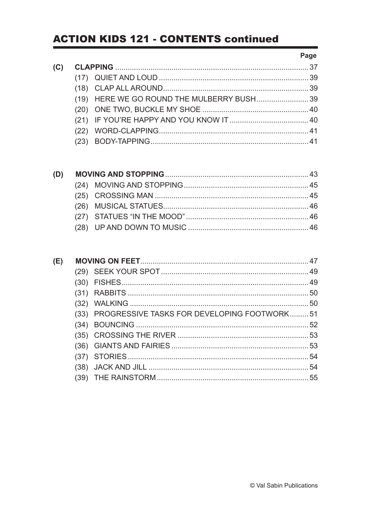|     |                                            | Page |
|-----|--------------------------------------------|------|
| (C) |                                            |      |
|     |                                            |      |
|     |                                            |      |
|     | (19) HERE WE GO ROUND THE MULBERRY BUSH 39 |      |
|     |                                            |      |
|     |                                            |      |
|     |                                            |      |
|     |                                            |      |

| (E) |      |                                             | 47 |
|-----|------|---------------------------------------------|----|
|     |      |                                             |    |
|     |      |                                             |    |
|     |      |                                             |    |
|     |      |                                             |    |
|     | (33) | PROGRESSIVE TASKS FOR DEVELOPING FOOTWORK51 |    |
|     | (34) |                                             |    |
|     |      |                                             |    |
|     |      |                                             |    |
|     |      |                                             | 54 |
|     | (38) |                                             |    |
|     |      |                                             |    |
|     |      |                                             |    |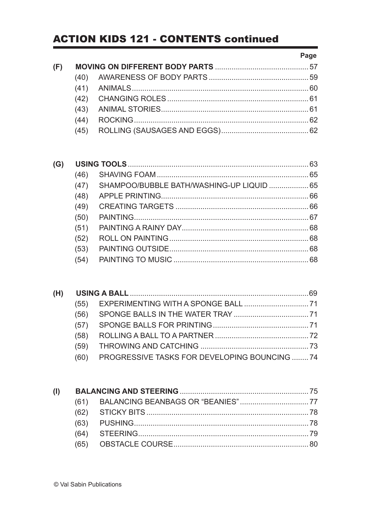#### Page

| (F) |      |  |
|-----|------|--|
|     | (40) |  |
|     |      |  |
|     |      |  |
|     |      |  |
|     | (44) |  |
|     | (45) |  |
|     |      |  |

| (G) |      |                                           |  |
|-----|------|-------------------------------------------|--|
|     | (46) |                                           |  |
|     | (47) | SHAMPOO/BUBBLE BATH/WASHING-UP LIQUID  65 |  |
|     | (48) |                                           |  |
|     | (49) |                                           |  |
|     | (50) |                                           |  |
|     | (51) |                                           |  |
|     | (52) |                                           |  |
|     | (53) |                                           |  |
|     | (54) |                                           |  |
|     |      |                                           |  |

| (H) |      |                                              |  |
|-----|------|----------------------------------------------|--|
|     | (55) |                                              |  |
|     | (56) |                                              |  |
|     | (57) |                                              |  |
|     | (58) |                                              |  |
|     | (59) |                                              |  |
|     |      | PROGRESSIVE TASKS FOR DEVELOPING BOUNCING 74 |  |
|     |      |                                              |  |

| (1) |  |  |
|-----|--|--|
|     |  |  |
|     |  |  |
|     |  |  |
|     |  |  |
|     |  |  |
|     |  |  |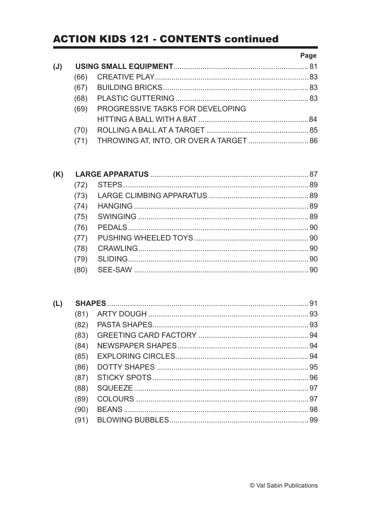|     |      |                                         | Page |
|-----|------|-----------------------------------------|------|
| (J) |      |                                         |      |
|     | (66) |                                         |      |
|     | (67) |                                         |      |
|     | (68) |                                         |      |
|     | (69) | PROGRESSIVE TASKS FOR DEVELOPING        |      |
|     |      |                                         |      |
|     | (70) |                                         |      |
|     |      | THROWING AT, INTO, OR OVER A TARGET  86 |      |
|     |      |                                         |      |

| (K) |      |  |
|-----|------|--|
|     |      |  |
|     | (73) |  |
|     | (74) |  |
|     | (75) |  |
|     | (76) |  |
|     | (77) |  |
|     | (78) |  |
|     | (79) |  |
|     |      |  |
|     |      |  |

| (L) |      |  | 91 |
|-----|------|--|----|
|     | (81) |  |    |
|     | (82) |  |    |
|     | (83) |  |    |
|     | (84) |  |    |
|     | (85) |  |    |
|     | (86) |  |    |
|     | (87) |  |    |
|     | (88) |  |    |
|     | (89) |  |    |
|     | (90) |  |    |
|     | (91) |  |    |
|     |      |  |    |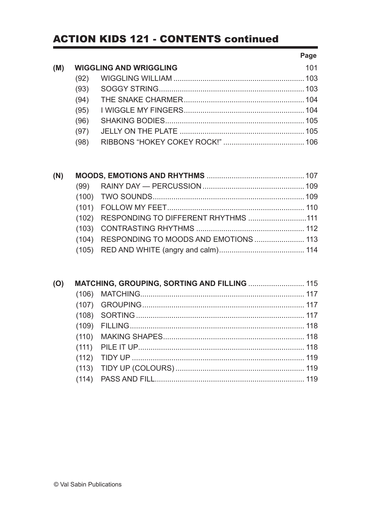#### Page

| (M) | <b>WIGGLING AND WRIGGLING</b> |  |  |
|-----|-------------------------------|--|--|
|     | (92)                          |  |  |
|     | (93)                          |  |  |
|     | (94)                          |  |  |
|     | (95)                          |  |  |
|     | (96)                          |  |  |
|     | (97)                          |  |  |
|     |                               |  |  |

| (N) |                                             |  |
|-----|---------------------------------------------|--|
|     |                                             |  |
|     |                                             |  |
|     |                                             |  |
|     | (102) RESPONDING TO DIFFERENT RHYTHMS 111   |  |
|     |                                             |  |
|     | (104) RESPONDING TO MOODS AND EMOTIONS  113 |  |
|     |                                             |  |

| (O) | MATCHING, GROUPING, SORTING AND FILLING  115 |  |
|-----|----------------------------------------------|--|
|     |                                              |  |
|     |                                              |  |
|     |                                              |  |
|     |                                              |  |
|     |                                              |  |
|     |                                              |  |
|     |                                              |  |
|     |                                              |  |
|     |                                              |  |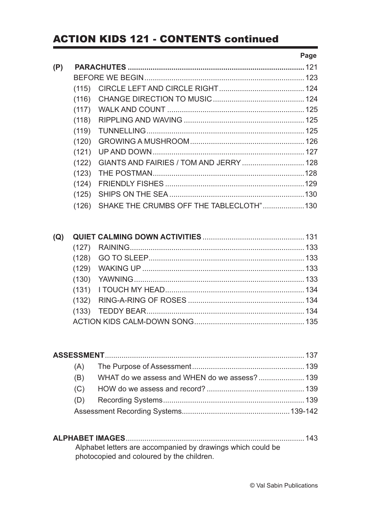#### Page

| (P) |       |                                         | 121 |
|-----|-------|-----------------------------------------|-----|
|     |       |                                         |     |
|     | (115) |                                         |     |
|     | (116) |                                         |     |
|     | (117) |                                         |     |
|     | (118) |                                         |     |
|     | (119) |                                         |     |
|     | (120) |                                         |     |
|     | (121) |                                         |     |
|     | (122) | GIANTS AND FAIRIES / TOM AND JERRY  128 |     |
|     | (123) |                                         |     |
|     | (124) |                                         |     |
|     | (125) |                                         |     |
|     | (126) | SHAKE THE CRUMBS OFF THE TABLECLOTH"130 |     |

| (B) | WHAT do we assess and WHEN do we assess? 139 |  |
|-----|----------------------------------------------|--|
|     |                                              |  |
|     |                                              |  |
|     |                                              |  |

| Alphabet letters are accompanied by drawings which could be |
|-------------------------------------------------------------|
| photocopied and coloured by the children.                   |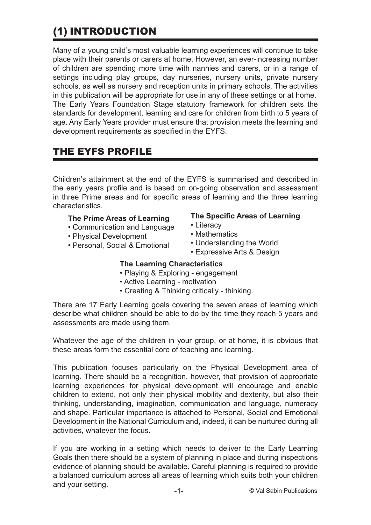## (1) INTRODUCTION

Many of a young child's most valuable learning experiences will continue to take place with their parents or carers at home. However, an ever-increasing number of children are spending more time with nannies and carers, or in a range of settings including play groups, day nurseries, nursery units, private nursery schools, as well as nursery and reception units in primary schools. The activities in this publication will be appropriate for use in any of these settings or at home. The Early Years Foundation Stage statutory framework for children sets the standards for development, learning and care for children from birth to 5 years of age. Any Early Years provider must ensure that provision meets the learning and development requirements as specified in the EYFS.

### THE EYFS PROFILE

Children's attainment at the end of the EYFS is summarised and described in the early years profile and is based on on-going observation and assessment in three Prime areas and for specific areas of learning and the three learning characteristics.

#### **The Prime Areas of Learning**

- Communication and Language
- Physical Development
- Personal, Social & Emotional

#### **The Specific Areas of Learning**

- Literacy
- Mathematics
- Understanding the World
- Expressive Arts & Design

#### **The Learning Characteristics**

- Playing & Exploring engagement
- Active Learning motivation
- Creating & Thinking critically thinking.

There are 17 Early Learning goals covering the seven areas of learning which describe what children should be able to do by the time they reach 5 years and assessments are made using them.

Whatever the age of the children in your group, or at home, it is obvious that these areas form the essential core of teaching and learning.

This publication focuses particularly on the Physical Development area of learning. There should be a recognition, however, that provision of appropriate learning experiences for physical development will encourage and enable children to extend, not only their physical mobility and dexterity, but also their thinking, understanding, imagination, communication and language, numeracy and shape. Particular importance is attached to Personal, Social and Emotional Development in the National Curriculum and, indeed, it can be nurtured during all activities, whatever the focus.

If you are working in a setting which needs to deliver to the Early Learning Goals then there should be a system of planning in place and during inspections evidence of planning should be available. Careful planning is required to provide a balanced curriculum across all areas of learning which suits both your children and your setting.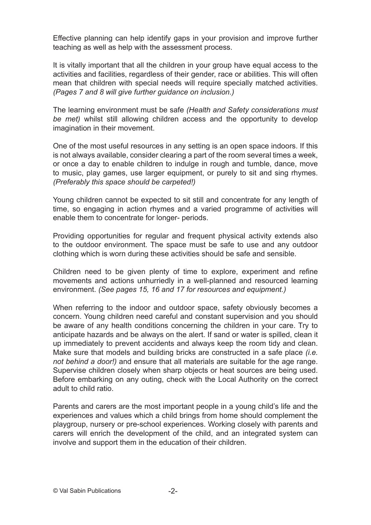Effective planning can help identify gaps in your provision and improve further teaching as well as help with the assessment process.

It is vitally important that all the children in your group have equal access to the activities and facilities, regardless of their gender, race or abilities. This will often mean that children with special needs will require specially matched activities. *(Pages 7 and 8 will give further guidance on inclusion.)*

The learning environment must be safe *(Health and Safety considerations must be met)* whilst still allowing children access and the opportunity to develop imagination in their movement.

One of the most useful resources in any setting is an open space indoors. If this is not always available, consider clearing a part of the room several times a week, or once a day to enable children to indulge in rough and tumble, dance, move to music, play games, use larger equipment, or purely to sit and sing rhymes. *(Preferably this space should be carpeted!)*

Young children cannot be expected to sit still and concentrate for any length of time, so engaging in action rhymes and a varied programme of activities will enable them to concentrate for longer- periods.

Providing opportunities for regular and frequent physical activity extends also to the outdoor environment. The space must be safe to use and any outdoor clothing which is worn during these activities should be safe and sensible.

Children need to be given plenty of time to explore, experiment and refine movements and actions unhurriedly in a well-planned and resourced learning environment. *(See pages 15, 16 and 17 for resources and equipment.)*

When referring to the indoor and outdoor space, safety obviously becomes a concern. Young children need careful and constant supervision and you should be aware of any health conditions concerning the children in your care. Try to anticipate hazards and be always on the alert. If sand or water is spilled, clean it up immediately to prevent accidents and always keep the room tidy and clean. Make sure that models and building bricks are constructed in a safe place *(i.e. not behind a door!)* and ensure that all materials are suitable for the age range. Supervise children closely when sharp objects or heat sources are being used. Before embarking on any outing, check with the Local Authority on the correct adult to child ratio.

Parents and carers are the most important people in a young child's life and the experiences and values which a child brings from home should complement the playgroup, nursery or pre-school experiences. Working closely with parents and carers will enrich the development of the child, and an integrated system can involve and support them in the education of their children.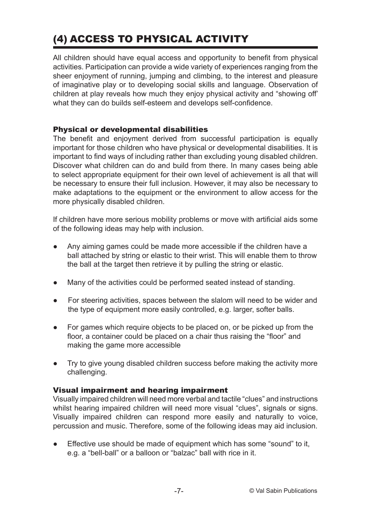## (4) ACCESS TO PHYSICAL ACTIVITY

All children should have equal access and opportunity to benefit from physical activities. Participation can provide a wide variety of experiences ranging from the sheer enjoyment of running, jumping and climbing, to the interest and pleasure of imaginative play or to developing social skills and language. Observation of children at play reveals how much they enjoy physical activity and "showing off' what they can do builds self-esteem and develops self-confidence.

#### Physical or developmental disabilities

The benefit and enjoyment derived from successful participation is equally important for those children who have physical or developmental disabilities. It is important to find ways of including rather than excluding young disabled children. Discover what children can do and build from there. In many cases being able to select appropriate equipment for their own level of achievement is all that will be necessary to ensure their full inclusion. However, it may also be necessary to make adaptations to the equipment or the environment to allow access for the more physically disabled children.

If children have more serious mobility problems or move with artificial aids some of the following ideas may help with inclusion.

- Any aiming games could be made more accessible if the children have a ball attached by string or elastic to their wrist. This will enable them to throw the ball at the target then retrieve it by pulling the string or elastic.
- Many of the activities could be performed seated instead of standing.
- For steering activities, spaces between the slalom will need to be wider and the type of equipment more easily controlled, e.g. larger, softer balls.
- For games which require objects to be placed on, or be picked up from the floor, a container could be placed on a chair thus raising the "floor" and making the game more accessible
- Try to give young disabled children success before making the activity more challenging.

#### Visual impairment and hearing impairment

Visually impaired children will need more verbal and tactile "clues" and instructions whilst hearing impaired children will need more visual "clues", signals or signs. Visually impaired children can respond more easily and naturally to voice, percussion and music. Therefore, some of the following ideas may aid inclusion.

Effective use should be made of equipment which has some "sound" to it, e.g. a "bell-ball" or a balloon or "balzac" ball with rice in it.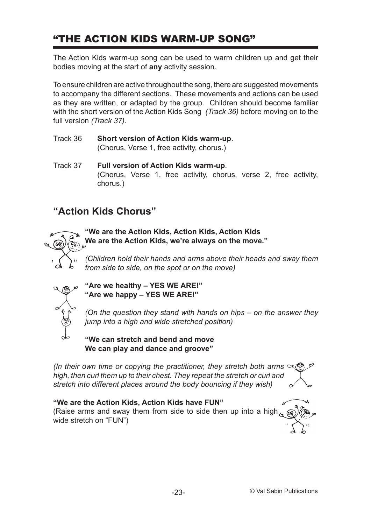### "THE ACTION KIDS WARM-UP SONG"

The Action Kids warm-up song can be used to warm children up and get their bodies moving at the start of **any** activity session.

To ensure children are active throughout the song, there are suggested movements to accompany the different sections. These movements and actions can be used as they are written, or adapted by the group.Children should become familiar with the short version of the Action Kids Song *(Track 36)* before moving on to the full version *(Track 37)*.

- Track 36 **Short version of Action Kids warm-up**. (Chorus, Verse 1, free activity, chorus.)
- Track 37 **Full version of Action Kids warm-up**. (Chorus, Verse 1, free activity, chorus, verse 2, free activity, chorus.)

### **"Action Kids Chorus"**



**"We are the Action Kids, Action Kids, Action Kids We are the Action Kids, we're always on the move."**

*(Children hold their hands and arms above their heads and sway them from side to side, on the spot or on the move)*



**"Are we healthy – YES WE ARE!" "Are we happy – YES WE ARE!"**

*(On the question they stand with hands on hips – on the answer they jump into a high and wide stretched position)*

**"We can stretch and bend and move We can play and dance and groove"**

*(In their own time or copying the practitioner, they stretch both arms high, then curl them up to their chest. They repeat the stretch or curl and stretch into different places around the body bouncing if they wish)*

# **"We are the Action Kids, Action Kids have FUN"**

(Raise arms and sway them from side to side then up into a high wide stretch on "FUN")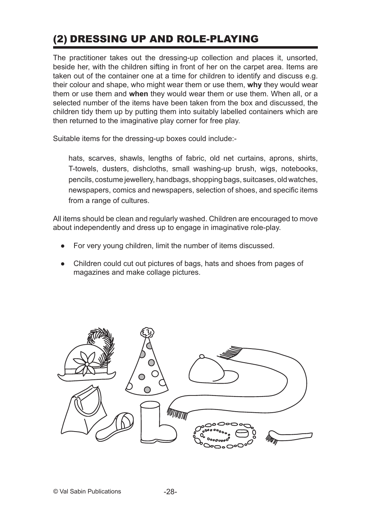## (2) DRESSING UP AND ROLE-PLAYING

The practitioner takes out the dressing-up collection and places it, unsorted, beside her, with the children sifting in front of her on the carpet area. Items are taken out of the container one at a time for children to identify and discuss e.g. their colour and shape, who might wear them or use them, **why** they would wear them or use them and **when** they would wear them or use them. When all, or a selected number of the items have been taken from the box and discussed, the children tidy them up by putting them into suitably labelled containers which are then returned to the imaginative play corner for free play.

Suitable items for the dressing-up boxes could include:-

hats, scarves, shawls, lengths of fabric, old net curtains, aprons, shirts, T-towels, dusters, dishcloths, small washing-up brush, wigs, notebooks, pencils, costume jewellery, handbags, shopping bags, suitcases, old watches, newspapers, comics and newspapers, selection of shoes, and specific items from a range of cultures.

All items should be clean and regularly washed. Children are encouraged to move about independently and dress up to engage in imaginative role-play.

- For very young children, limit the number of items discussed.
- Children could cut out pictures of bags, hats and shoes from pages of magazines and make collage pictures.

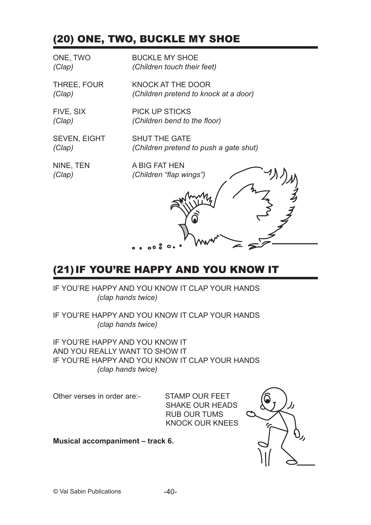## (20) ONE, TWO, BUCKLE MY SHOE

| ONE, TWO            | <b>BUCKLE MY SHOE</b>                  |
|---------------------|----------------------------------------|
| (Clap)              | (Children touch their feet)            |
| THREE, FOUR         | KNOCK AT THE DOOR                      |
| (Clap)              | (Children pretend to knock at a door)  |
| FIVE, SIX           | <b>PICK UP STICKS</b>                  |
| (Clap)              | (Children bend to the floor)           |
| <b>SEVEN, EIGHT</b> | <b>SHUT THE GATE</b>                   |
| (Clap)              | (Children pretend to push a gate shut) |
| NINE, TEN           | A BIG FAT HEN                          |
| (Clap)              | (Children "flap wings")                |
|                     | ္ ၀၀၀ိ ဝ                               |

## (21)IF YOU'RE HAPPY AND YOU KNOW IT

IF YOU'RE HAPPY AND YOU KNOW IT CLAP YOUR HANDS *(clap hands twice)*

IF YOU'RE HAPPY AND YOU KNOW IT CLAP YOUR HANDS *(clap hands twice)*

IF YOU'RE HAPPY AND YOU KNOW IT AND YOU REALLY WANT TO SHOW IT IF YOU'RE HAPPY AND YOU KNOW IT CLAP YOUR HANDS *(clap hands twice)*

Other verses in order are:- STAMP OUR FEET

SHAKE OUR HEADS RUB OUR TUMS KNOCK OUR KNEES

**Musical accompaniment – track 6.**

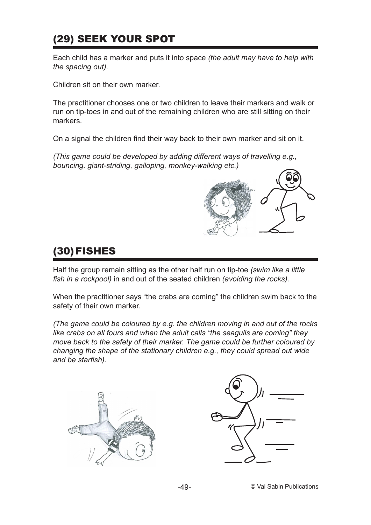## (29) SEEK YOUR SPOT

Each child has a marker and puts it into space *(the adult may have to help with the spacing out).*

Children sit on their own marker.

The practitioner chooses one or two children to leave their markers and walk or run on tip-toes in and out of the remaining children who are still sitting on their markers.

On a signal the children find their way back to their own marker and sit on it.

*(This game could be developed by adding different ways of travelling e.g., bouncing, giant-striding, galloping, monkey-walking etc.)*



## (30)FISHES

Half the group remain sitting as the other half run on tip-toe *(swim like a little fish in a rockpool)* in and out of the seated children *(avoiding the rocks).*

When the practitioner says "the crabs are coming" the children swim back to the safety of their own marker.

*(The game could be coloured by e.g. the children moving in and out of the rocks like crabs on all fours and when the adult calls "the seagulls are coming" they move back to the safety of their marker. The game could be further coloured by changing the shape of the stationary children e.g., they could spread out wide and be starfish).*



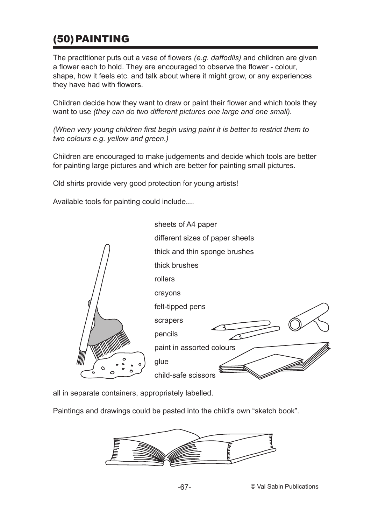## (50)PAINTING

The practitioner puts out a vase of flowers *(e.g. daffodils)* and children are given a flower each to hold. They are encouraged to observe the flower - colour, shape, how it feels etc. and talk about where it might grow, or any experiences they have had with flowers.

Children decide how they want to draw or paint their flower and which tools they want to use *(they can do two different pictures one large and one small).*

*(When very young children first begin using paint it is better to restrict them to two colours e.g. yellow and green.)*

Children are encouraged to make judgements and decide which tools are better for painting large pictures and which are better for painting small pictures.

Old shirts provide very good protection for young artists!

Available tools for painting could include....



all in separate containers, appropriately labelled.

Paintings and drawings could be pasted into the child's own "sketch book".

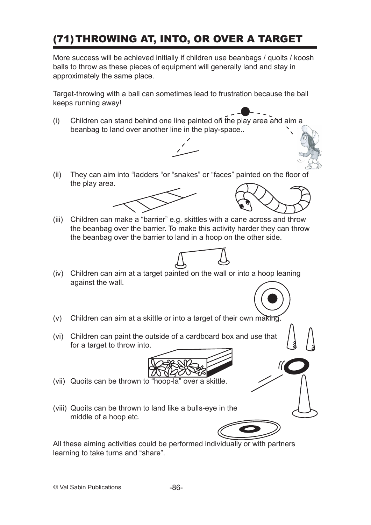## (71)THROWING AT, INTO, OR OVER A TARGET

More success will be achieved initially if children use beanbags / quoits / koosh balls to throw as these pieces of equipment will generally land and stay in approximately the same place.

Target-throwing with a ball can sometimes lead to frustration because the ball keeps running away!

(i) Children can stand behind one line painted on the play area and aim a beanbag to land over another line in the play-space..



(ii) They can aim into "ladders "or "snakes" or "faces" painted on the floor of the play area.





(iii) Children can make a "barrier" e.g. skittles with a cane across and throw the beanbag over the barrier. To make this activity harder they can throw the beanbag over the barrier to land in a hoop on the other side.



- (iv) Children can aim at a target painted on the wall or into a hoop leaning against the wall.
- (v) Children can aim at a skittle or into a target of their own making.
- (vi) Children can paint the outside of a cardboard box and use that for a target to throw into.



- (vii) Quoits can be thrown to "hoop-la" over a skittle.
- (viii) Quoits can be thrown to land like a bulls-eye in the middle of a hoop etc.

All these aiming activities could be performed individually or with partners learning to take turns and "share".